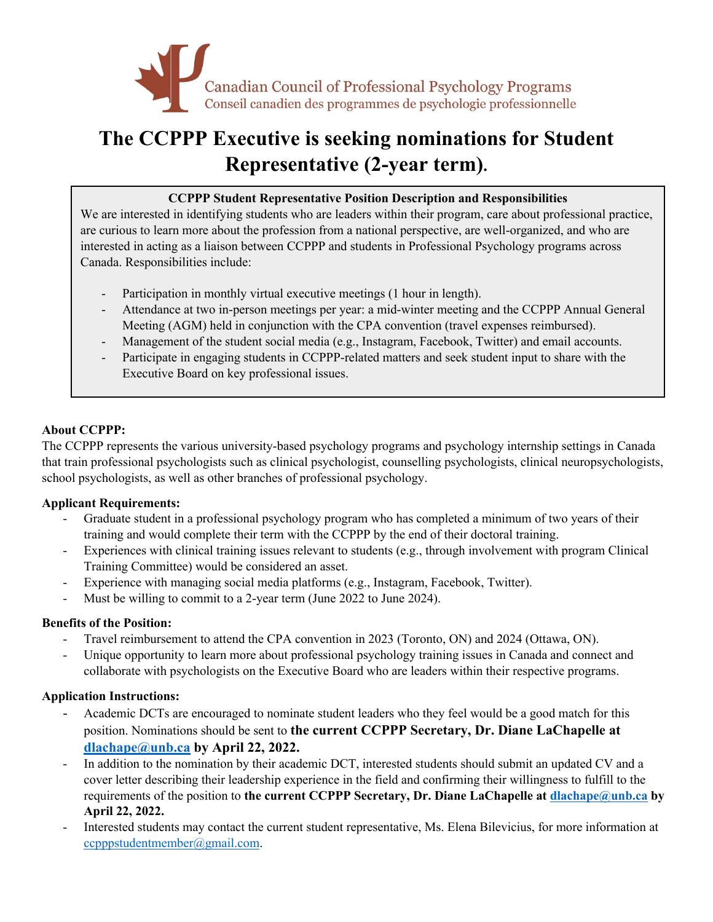

# **The CCPPP Executive is seeking nominations for Student Representative (2-year term).**

# **CCPPP Student Representative Position Description and Responsibilities**

We are interested in identifying students who are leaders within their program, care about professional practice, are curious to learn more about the profession from a national perspective, are well-organized, and who are interested in acting as a liaison between CCPPP and students in Professional Psychology programs across Canada. Responsibilities include:

- Participation in monthly virtual executive meetings (1 hour in length).
- Attendance at two in-person meetings per year: a mid-winter meeting and the CCPPP Annual General Meeting (AGM) held in conjunction with the CPA convention (travel expenses reimbursed).
- Management of the student social media (e.g., Instagram, Facebook, Twitter) and email accounts.
- Participate in engaging students in CCPPP-related matters and seek student input to share with the Executive Board on key professional issues.

# **About CCPPP:**

The CCPPP represents the various university-based psychology programs and psychology internship settings in Canada that train professional psychologists such as clinical psychologist, counselling psychologists, clinical neuropsychologists, school psychologists, as well as other branches of professional psychology.

### **Applicant Requirements:**

- Graduate student in a professional psychology program who has completed a minimum of two years of their training and would complete their term with the CCPPP by the end of their doctoral training.
- Experiences with clinical training issues relevant to students (e.g., through involvement with program Clinical Training Committee) would be considered an asset.
- Experience with managing social media platforms (e.g., Instagram, Facebook, Twitter).
- Must be willing to commit to a 2-year term (June 2022 to June 2024).

### **Benefits of the Position:**

- Travel reimbursement to attend the CPA convention in 2023 (Toronto, ON) and 2024 (Ottawa, ON).
- Unique opportunity to learn more about professional psychology training issues in Canada and connect and collaborate with psychologists on the Executive Board who are leaders within their respective programs.

### **Application Instructions:**

- Academic DCTs are encouraged to nominate student leaders who they feel would be a good match for this position. Nominations should be sent to **the current CCPPP Secretary, Dr. Diane LaChapelle at dlachape@unb.ca by April 22, 2022.**
- In addition to the nomination by their academic DCT, interested students should submit an updated CV and a cover letter describing their leadership experience in the field and confirming their willingness to fulfill to the requirements of the position to **the current CCPPP Secretary, Dr. Diane LaChapelle at dlachape@unb.ca by April 22, 2022.**
- Interested students may contact the current student representative, Ms. Elena Bilevicius, for more information at ccpppstudentmember@gmail.com.